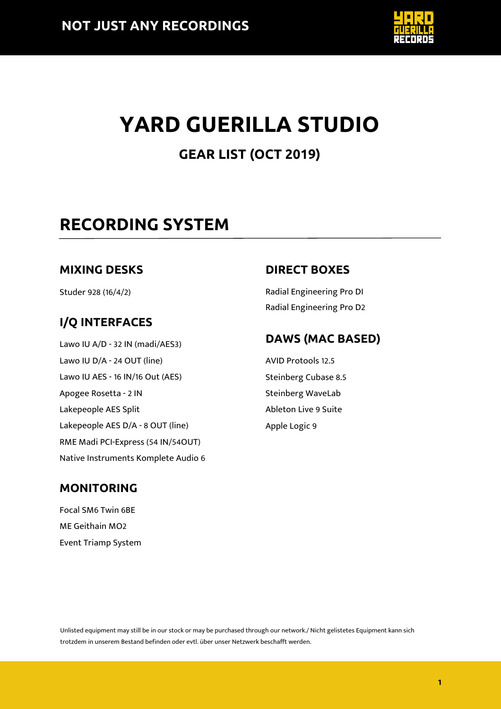

# **YARD GUERILLA STUDIO**

### **GEAR LIST (OCT 2019)**

# **RECORDING SYSTEM**

#### **MIXING DESKS**

Studer 928 (16/4/2)

### **I/Q INTERFACES**

Lawo IU A/D - 32 IN (madi/AES3) Lawo IU D/A - 24 OUT (line) Lawo IU AES - 16 IN/16 Out (AES) Apogee Rosetta - 2 IN Lakepeople AES Split Lakepeople AES D/A - 8 OUT (line) RME Madi PCI-Express (54 IN/54OUT) Native Instruments Komplete Audio 6

#### **DIRECT BOXES**

Radial Engineering Pro DI Radial Engineering Pro D2

#### **DAWS (MAC BASED)**

AVID Protools 12.5 Steinberg Cubase 8.5 Steinberg WaveLab Ableton Live 9 Suite Apple Logic 9

#### **MONITORING**

Focal SM6 Twin 6BE ME Geithain MO2 Event Triamp System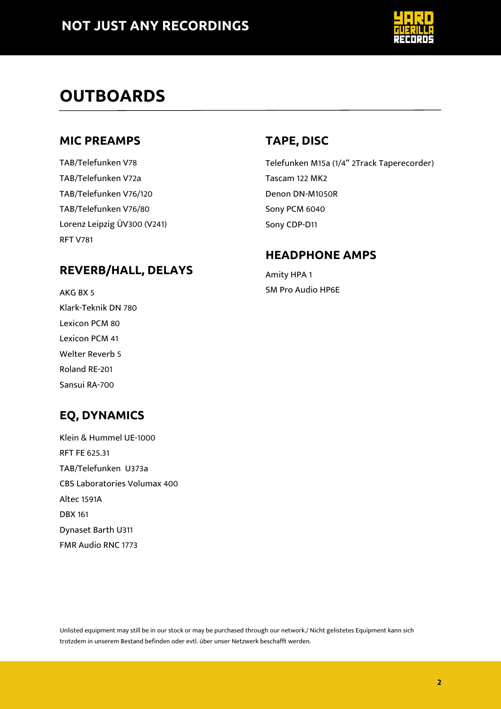

# **OUTBOARDS**

#### **MIC PREAMPS**

TAB/Telefunken V78 TAB/Telefunken V72a TAB/Telefunken V76/120 TAB/Telefunken V76/80 Lorenz Leipzig ÜV300 (V241) RFT V781

#### **REVERB/HALL, DELAYS**

AKG BX 5 Klark-Teknik DN 780 Lexicon PCM 80 Lexicon PCM 41 Welter Reverb 5 Roland RE-201 Sansui RA-700

### **EQ, DYNAMICS**

Klein & Hummel UE-1000 RFT FE 625.31 TAB/Telefunken U373a CBS Laboratories Volumax 400 Altec 1591A DBX 161 Dynaset Barth U311 FMR Audio RNC 1773

#### **TAPE, DISC**

Telefunken M15a (1/4" 2Track Taperecorder) Tascam 122 MK2 Denon DN-M1050R Sony PCM 6040 Sony CDP-D11

#### **HEADPHONE AMPS**

Amity HPA 1 SM Pro Audio HP6E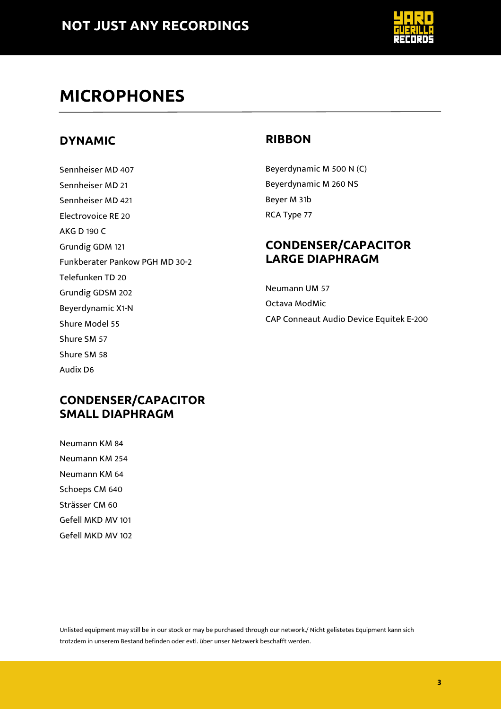

## **MICROPHONES**

#### **DYNAMIC**

Sennheiser MD 407 Sennheiser MD 21 Sennheiser MD 421 Electrovoice RE 20 AKG D 190 C Grundig GDM 121 Funkberater Pankow PGH MD 30-2 Telefunken TD 20 Grundig GDSM 202 Beyerdynamic X1-N Shure Model 55 Shure SM 57 Shure SM 58 Audix D6

#### **RIBBON**

Beyerdynamic M 500 N (C) Beyerdynamic M 260 NS Beyer M 31b RCA Type 77

#### **CONDENSER/CAPACITOR LARGE DIAPHRAGM**

Neumann UM 57

Octava ModMic

CAP Conneaut Audio Device Equitek E-200

#### **CONDENSER/CAPACITOR SMALL DIAPHRAGM**

Neumann KM 84 Neumann KM 254 Neumann KM 64 Schoeps CM 640 Strässer CM 60 Gefell MKD MV 101 Gefell MKD MV 102